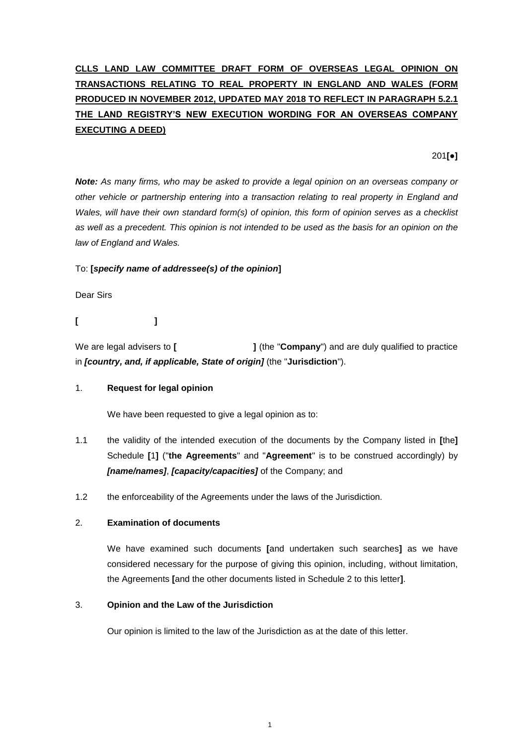# **CLLS LAND LAW COMMITTEE DRAFT FORM OF OVERSEAS LEGAL OPINION ON TRANSACTIONS RELATING TO REAL PROPERTY IN ENGLAND AND WALES (FORM PRODUCED IN NOVEMBER 2012, UPDATED MAY 2018 TO REFLECT IN PARAGRAPH 5.2.1 THE LAND REGISTRY'S NEW EXECUTION WORDING FOR AN OVERSEAS COMPANY EXECUTING A DEED)**

201**[●]**

*Note: As many firms, who may be asked to provide a legal opinion on an overseas company or other vehicle or partnership entering into a transaction relating to real property in England and Wales, will have their own standard form(s) of opinion, this form of opinion serves as a checklist as well as a precedent. This opinion is not intended to be used as the basis for an opinion on the law of England and Wales.*

#### To: **[***specify name of addressee(s) of the opinion***]**

Dear Sirs

# **[ ]**

We are legal advisers to **[**  $\qquad \qquad$  **]** (the "**Company**") and are duly qualified to practice in *[country, and, if applicable, State of origin]* (the "**Jurisdiction**").

### 1. **Request for legal opinion**

We have been requested to give a legal opinion as to:

- 1.1 the validity of the intended execution of the documents by the Company listed in **[**the**]** Schedule **[**1**]** ("**the Agreements**" and "**Agreement**" is to be construed accordingly) by *[name/names]*, *[capacity/capacities]* of the Company; and
- 1.2 the enforceability of the Agreements under the laws of the Jurisdiction.

#### 2. **Examination of documents**

We have examined such documents **[**and undertaken such searches**]** as we have considered necessary for the purpose of giving this opinion, including, without limitation, the Agreements **[**and the other documents listed in Schedule 2 to this letter**]**.

# 3. **Opinion and the Law of the Jurisdiction**

Our opinion is limited to the law of the Jurisdiction as at the date of this letter.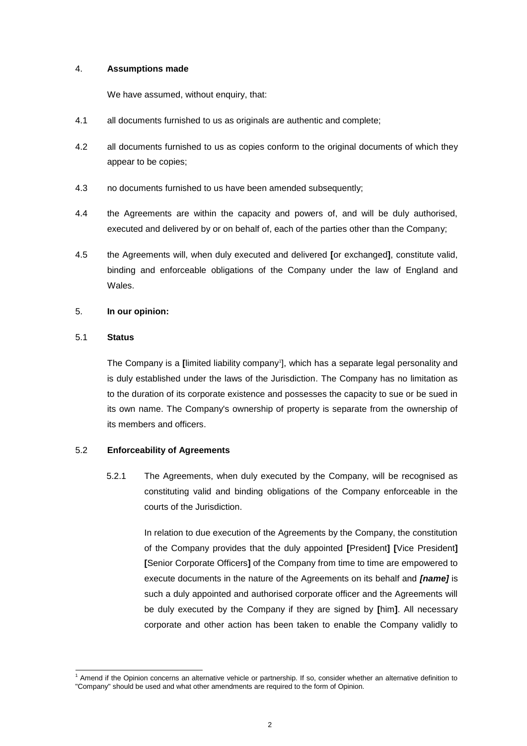#### 4. **Assumptions made**

We have assumed, without enquiry, that:

- 4.1 all documents furnished to us as originals are authentic and complete;
- 4.2 all documents furnished to us as copies conform to the original documents of which they appear to be copies;
- 4.3 no documents furnished to us have been amended subsequently;
- 4.4 the Agreements are within the capacity and powers of, and will be duly authorised, executed and delivered by or on behalf of, each of the parties other than the Company;
- 4.5 the Agreements will, when duly executed and delivered **[**or exchanged**]**, constitute valid, binding and enforceable obligations of the Company under the law of England and Wales.

#### 5. **In our opinion:**

#### 5.1 **Status**

-

The Company is a **[**limited liability company<sup>1</sup> ], which has a separate legal personality and is duly established under the laws of the Jurisdiction. The Company has no limitation as to the duration of its corporate existence and possesses the capacity to sue or be sued in its own name. The Company's ownership of property is separate from the ownership of its members and officers.

#### 5.2 **Enforceability of Agreements**

5.2.1 The Agreements, when duly executed by the Company, will be recognised as constituting valid and binding obligations of the Company enforceable in the courts of the Jurisdiction.

> In relation to due execution of the Agreements by the Company, the constitution of the Company provides that the duly appointed **[**President**] [**Vice President**] [**Senior Corporate Officers**]** of the Company from time to time are empowered to execute documents in the nature of the Agreements on its behalf and *[name]* is such a duly appointed and authorised corporate officer and the Agreements will be duly executed by the Company if they are signed by **[**him**]**. All necessary corporate and other action has been taken to enable the Company validly to

<sup>1</sup> Amend if the Opinion concerns an alternative vehicle or partnership. If so, consider whether an alternative definition to "Company" should be used and what other amendments are required to the form of Opinion.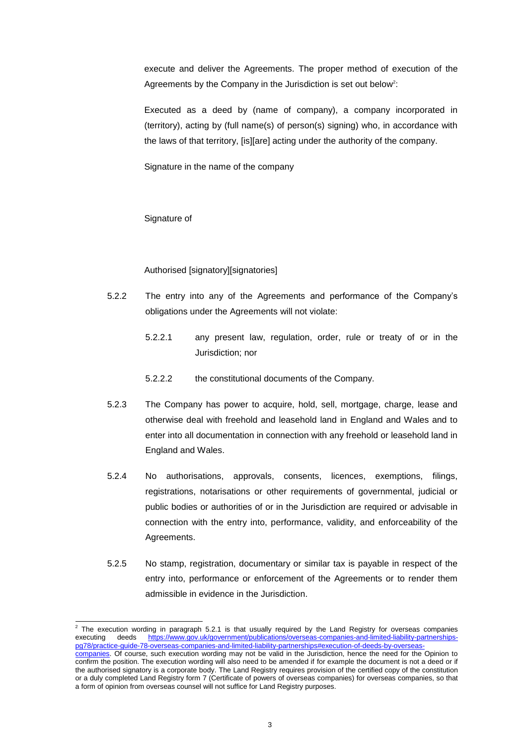execute and deliver the Agreements. The proper method of execution of the Agreements by the Company in the Jurisdiction is set out below<sup>2</sup>:

Executed as a deed by (name of company), a company incorporated in (territory), acting by (full name(s) of person(s) signing) who, in accordance with the laws of that territory, [is][are] acting under the authority of the company.

Signature in the name of the company

#### Signature of

# Authorised [signatory][signatories]

- 5.2.2 The entry into any of the Agreements and performance of the Company's obligations under the Agreements will not violate:
	- 5.2.2.1 any present law, regulation, order, rule or treaty of or in the Jurisdiction; nor
	- 5.2.2.2 the constitutional documents of the Company.
- 5.2.3 The Company has power to acquire, hold, sell, mortgage, charge, lease and otherwise deal with freehold and leasehold land in England and Wales and to enter into all documentation in connection with any freehold or leasehold land in England and Wales.
- 5.2.4 No authorisations, approvals, consents, licences, exemptions, filings, registrations, notarisations or other requirements of governmental, judicial or public bodies or authorities of or in the Jurisdiction are required or advisable in connection with the entry into, performance, validity, and enforceability of the Agreements.
- 5.2.5 No stamp, registration, documentary or similar tax is payable in respect of the entry into, performance or enforcement of the Agreements or to render them admissible in evidence in the Jurisdiction.

 2 The execution wording in paragraph 5.2.1 is that usually required by the Land Registry for overseas companies executing deeds [https://www.gov.uk/government/publications/overseas-companies-and-limited-liability-partnerships](https://www.gov.uk/government/publications/overseas-companies-and-limited-liability-partnerships-pg78/practice-guide-78-overseas-companies-and-limited-liability-partnerships#execution-of-deeds-by-overseas-companies)[pg78/practice-guide-78-overseas-companies-and-limited-liability-partnerships#execution-of-deeds-by-overseas](https://www.gov.uk/government/publications/overseas-companies-and-limited-liability-partnerships-pg78/practice-guide-78-overseas-companies-and-limited-liability-partnerships#execution-of-deeds-by-overseas-companies)[companies.](https://www.gov.uk/government/publications/overseas-companies-and-limited-liability-partnerships-pg78/practice-guide-78-overseas-companies-and-limited-liability-partnerships#execution-of-deeds-by-overseas-companies) Of course, such execution wording may not be valid in the Jurisdiction, hence the need for the Opinion to confirm the position. The execution wording will also need to be amended if for example the document is not a deed or if the authorised signatory is a corporate body. The Land Registry requires provision of the certified copy of the constitution or a duly completed Land Registry form 7 (Certificate of powers of overseas companies) for overseas companies, so that a form of opinion from overseas counsel will not suffice for Land Registry purposes.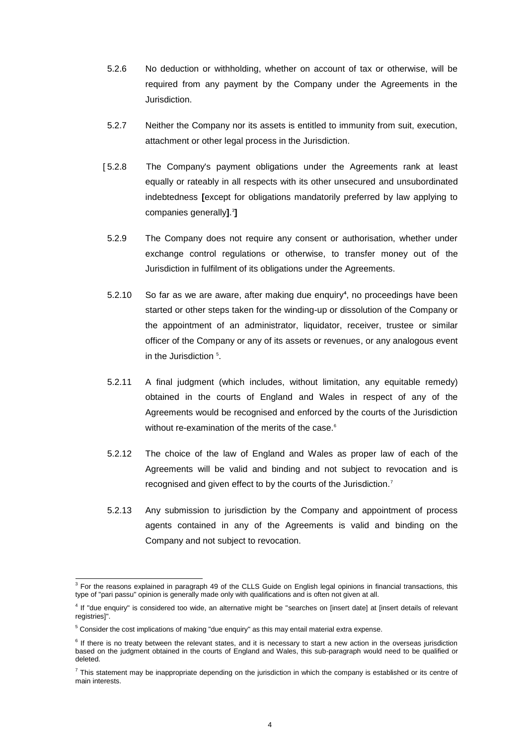- 5.2.6 No deduction or withholding, whether on account of tax or otherwise, will be required from any payment by the Company under the Agreements in the Jurisdiction.
- 5.2.7 Neither the Company nor its assets is entitled to immunity from suit, execution, attachment or other legal process in the Jurisdiction.
- [ 5.2.8 The Company's payment obligations under the Agreements rank at least equally or rateably in all respects with its other unsecured and unsubordinated indebtedness **[**except for obligations mandatorily preferred by law applying to companies generally**]**. 3 **]**
- 5.2.9 The Company does not require any consent or authorisation, whether under exchange control regulations or otherwise, to transfer money out of the Jurisdiction in fulfilment of its obligations under the Agreements.
- 5.2.10 So far as we are aware, after making due enquiry**<sup>4</sup>** , no proceedings have been started or other steps taken for the winding-up or dissolution of the Company or the appointment of an administrator, liquidator, receiver, trustee or similar officer of the Company or any of its assets or revenues, or any analogous event in the Jurisdiction <sup>5</sup>.
- 5.2.11 A final judgment (which includes, without limitation, any equitable remedy) obtained in the courts of England and Wales in respect of any of the Agreements would be recognised and enforced by the courts of the Jurisdiction without re-examination of the merits of the case.<sup>6</sup>
- 5.2.12 The choice of the law of England and Wales as proper law of each of the Agreements will be valid and binding and not subject to revocation and is recognised and given effect to by the courts of the Jurisdiction.<sup>7</sup>
- 5.2.13 Any submission to jurisdiction by the Company and appointment of process agents contained in any of the Agreements is valid and binding on the Company and not subject to revocation.

 3 For the reasons explained in paragraph 49 of the CLLS Guide on English legal opinions in financial transactions, this type of "pari passu" opinion is generally made only with qualifications and is often not given at all.

<sup>4</sup> If "due enquiry" is considered too wide, an alternative might be "searches on [insert date] at [insert details of relevant registries]".

<sup>&</sup>lt;sup>5</sup> Consider the cost implications of making "due enquiry" as this may entail material extra expense.

<sup>&</sup>lt;sup>6</sup> If there is no treaty between the relevant states, and it is necessary to start a new action in the overseas jurisdiction based on the judgment obtained in the courts of England and Wales, this sub-paragraph would need to be qualified or deleted.

 $^7$  This statement may be inappropriate depending on the jurisdiction in which the company is established or its centre of main interests.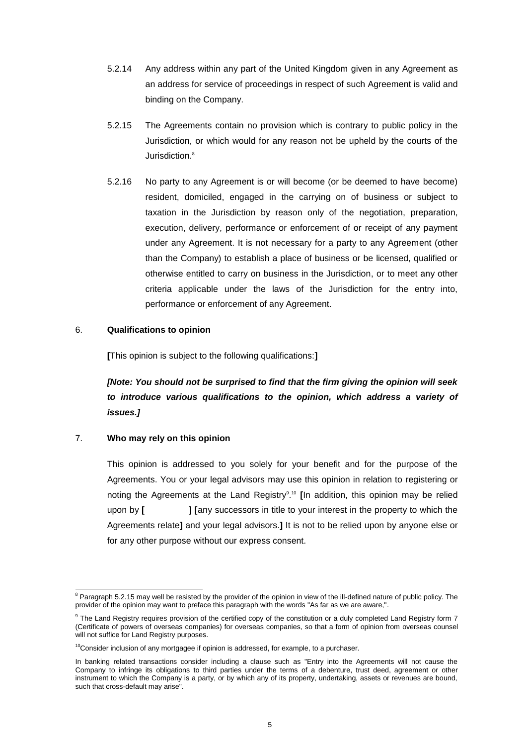- 5.2.14 Any address within any part of the United Kingdom given in any Agreement as an address for service of proceedings in respect of such Agreement is valid and binding on the Company.
- 5.2.15 The Agreements contain no provision which is contrary to public policy in the Jurisdiction, or which would for any reason not be upheld by the courts of the Jurisdiction.<sup>8</sup>
- 5.2.16 No party to any Agreement is or will become (or be deemed to have become) resident, domiciled, engaged in the carrying on of business or subject to taxation in the Jurisdiction by reason only of the negotiation, preparation, execution, delivery, performance or enforcement of or receipt of any payment under any Agreement. It is not necessary for a party to any Agreement (other than the Company) to establish a place of business or be licensed, qualified or otherwise entitled to carry on business in the Jurisdiction, or to meet any other criteria applicable under the laws of the Jurisdiction for the entry into, performance or enforcement of any Agreement.

#### 6. **Qualifications to opinion**

**[**This opinion is subject to the following qualifications:**]**

*[Note: You should not be surprised to find that the firm giving the opinion will seek to introduce various qualifications to the opinion, which address a variety of issues.]*

#### 7. **Who may rely on this opinion**

This opinion is addressed to you solely for your benefit and for the purpose of the Agreements. You or your legal advisors may use this opinion in relation to registering or noting the Agreements at the Land Registry<sup>9</sup>.<sup>10</sup> [In addition, this opinion may be relied upon by **[ ] [**any successors in title to your interest in the property to which the Agreements relate**]** and your legal advisors.**]** It is not to be relied upon by anyone else or for any other purpose without our express consent.

<sup>-</sup><sup>8</sup> Paragraph 5.2.15 may well be resisted by the provider of the opinion in view of the ill-defined nature of public policy. The provider of the opinion may want to preface this paragraph with the words "As far as we are aware,".

<sup>&</sup>lt;sup>9</sup> The Land Registry requires provision of the certified copy of the constitution or a duly completed Land Registry form 7 (Certificate of powers of overseas companies) for overseas companies, so that a form of opinion from overseas counsel will not suffice for Land Registry purposes.

 $10$ Consider inclusion of any mortgagee if opinion is addressed, for example, to a purchaser.

In banking related transactions consider including a clause such as "Entry into the Agreements will not cause the Company to infringe its obligations to third parties under the terms of a debenture, trust deed, agreement or other instrument to which the Company is a party, or by which any of its property, undertaking, assets or revenues are bound, such that cross-default may arise".